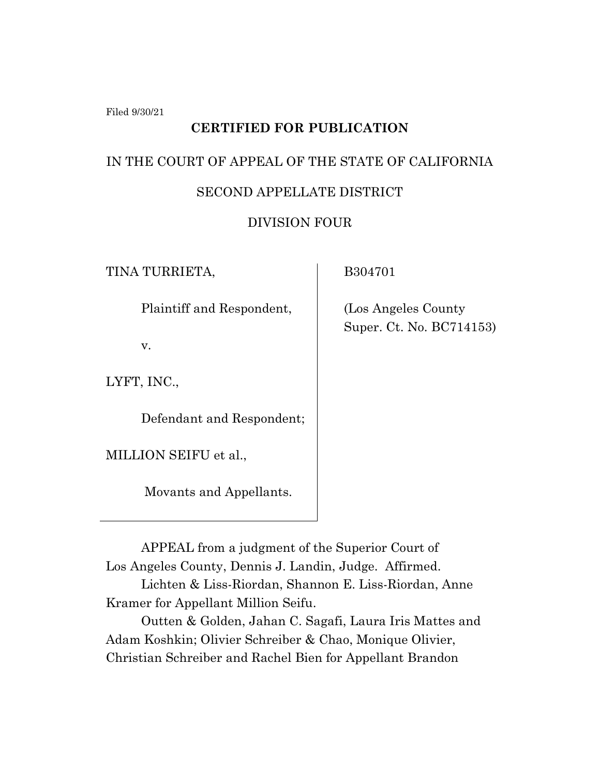Filed 9/30/21

## **CERTIFIED FOR PUBLICATION**

# IN THE COURT OF APPEAL OF THE STATE OF CALIFORNIA

#### SECOND APPELLATE DISTRICT

### DIVISION FOUR

TINA TURRIETA,

B304701

Plaintiff and Respondent,

v.

LYFT, INC.,

Defendant and Respondent;

MILLION SEIFU et al.,

Movants and Appellants.

 (Los Angeles County Super. Ct. No. BC714153)

APPEAL from a judgment of the Superior Court of Los Angeles County, Dennis J. Landin, Judge. Affirmed. Lichten & Liss-Riordan, Shannon E. Liss-Riordan, Anne Kramer for Appellant Million Seifu.

Outten & Golden, Jahan C. Sagafi, Laura Iris Mattes and Adam Koshkin; Olivier Schreiber & Chao, Monique Olivier, Christian Schreiber and Rachel Bien for Appellant Brandon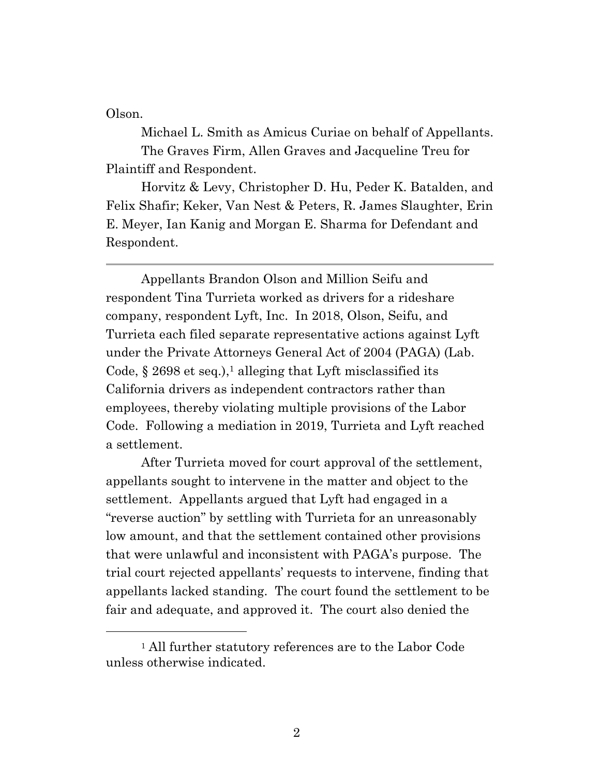Olson.

Michael L. Smith as Amicus Curiae on behalf of Appellants. The Graves Firm, Allen Graves and Jacqueline Treu for Plaintiff and Respondent.

Horvitz & Levy, Christopher D. Hu, Peder K. Batalden, and Felix Shafir; Keker, Van Nest & Peters, R. James Slaughter, Erin E. Meyer, Ian Kanig and Morgan E. Sharma for Defendant and Respondent.

Appellants Brandon Olson and Million Seifu and respondent Tina Turrieta worked as drivers for a rideshare company, respondent Lyft, Inc. In 2018, Olson, Seifu, and Turrieta each filed separate representative actions against Lyft under the Private Attorneys General Act of 2004 (PAGA) (Lab. Code,  $\S 2698$  et seq.),<sup>1</sup> alleging that Lyft misclassified its California drivers as independent contractors rather than employees, thereby violating multiple provisions of the Labor Code. Following a mediation in 2019, Turrieta and Lyft reached a settlement.

After Turrieta moved for court approval of the settlement, appellants sought to intervene in the matter and object to the settlement. Appellants argued that Lyft had engaged in a "reverse auction" by settling with Turrieta for an unreasonably low amount, and that the settlement contained other provisions that were unlawful and inconsistent with PAGA's purpose. The trial court rejected appellants' requests to intervene, finding that appellants lacked standing. The court found the settlement to be fair and adequate, and approved it. The court also denied the

<sup>1</sup> All further statutory references are to the Labor Code unless otherwise indicated.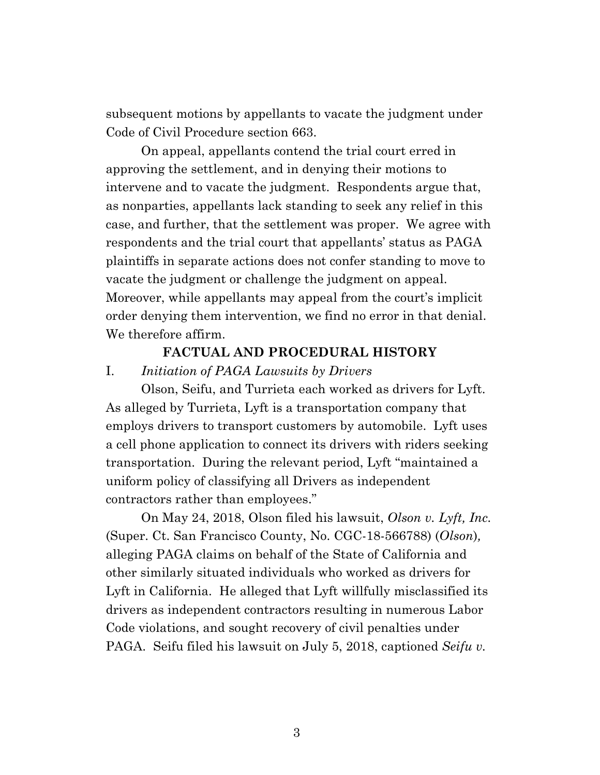subsequent motions by appellants to vacate the judgment under Code of Civil Procedure section 663.

On appeal, appellants contend the trial court erred in approving the settlement, and in denying their motions to intervene and to vacate the judgment. Respondents argue that, as nonparties, appellants lack standing to seek any relief in this case, and further, that the settlement was proper. We agree with respondents and the trial court that appellants' status as PAGA plaintiffs in separate actions does not confer standing to move to vacate the judgment or challenge the judgment on appeal. Moreover, while appellants may appeal from the court's implicit order denying them intervention, we find no error in that denial. We therefore affirm.

#### **FACTUAL AND PROCEDURAL HISTORY**

I. *Initiation of PAGA Lawsuits by Drivers*

Olson, Seifu, and Turrieta each worked as drivers for Lyft. As alleged by Turrieta, Lyft is a transportation company that employs drivers to transport customers by automobile. Lyft uses a cell phone application to connect its drivers with riders seeking transportation. During the relevant period, Lyft "maintained a uniform policy of classifying all Drivers as independent contractors rather than employees."

On May 24, 2018, Olson filed his lawsuit, *Olson v. Lyft, Inc.* (Super. Ct. San Francisco County, No. CGC-18-566788) (*Olson*)*,* alleging PAGA claims on behalf of the State of California and other similarly situated individuals who worked as drivers for Lyft in California. He alleged that Lyft willfully misclassified its drivers as independent contractors resulting in numerous Labor Code violations, and sought recovery of civil penalties under PAGA. Seifu filed his lawsuit on July 5, 2018, captioned *Seifu v.*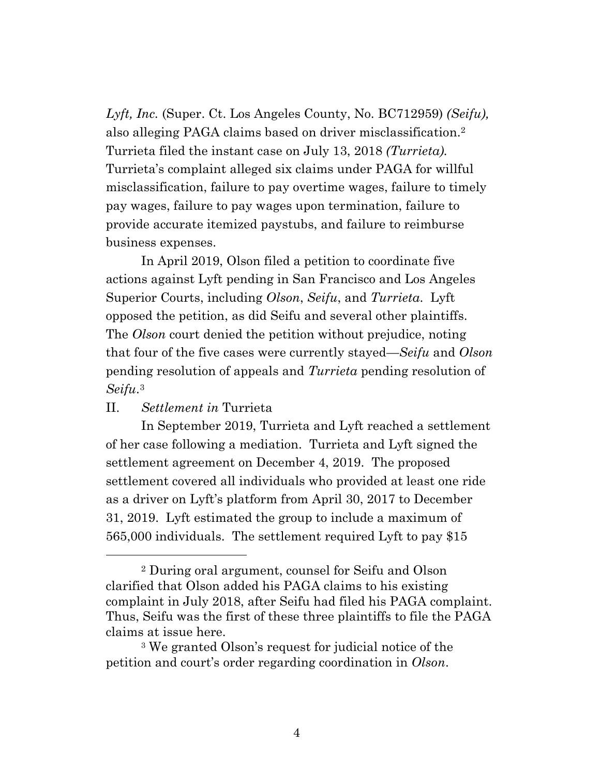*Lyft, Inc.* (Super. Ct. Los Angeles County, No. BC712959) *(Seifu),* also alleging PAGA claims based on driver misclassification. 2 Turrieta filed the instant case on July 13, 2018 *(Turrieta).* Turrieta's complaint alleged six claims under PAGA for willful misclassification, failure to pay overtime wages, failure to timely pay wages, failure to pay wages upon termination, failure to provide accurate itemized paystubs, and failure to reimburse business expenses.

In April 2019, Olson filed a petition to coordinate five actions against Lyft pending in San Francisco and Los Angeles Superior Courts, including *Olson*, *Seifu*, and *Turrieta*. Lyft opposed the petition, as did Seifu and several other plaintiffs. The *Olson* court denied the petition without prejudice, noting that four of the five cases were currently stayed—*Seifu* and *Olson* pending resolution of appeals and *Turrieta* pending resolution of *Seifu*. 3

#### II. *Settlement in* Turrieta

In September 2019, Turrieta and Lyft reached a settlement of her case following a mediation. Turrieta and Lyft signed the settlement agreement on December 4, 2019. The proposed settlement covered all individuals who provided at least one ride as a driver on Lyft's platform from April 30, 2017 to December 31, 2019. Lyft estimated the group to include a maximum of 565,000 individuals. The settlement required Lyft to pay \$15

<sup>2</sup> During oral argument, counsel for Seifu and Olson clarified that Olson added his PAGA claims to his existing complaint in July 2018, after Seifu had filed his PAGA complaint. Thus, Seifu was the first of these three plaintiffs to file the PAGA claims at issue here.

<sup>3</sup> We granted Olson's request for judicial notice of the petition and court's order regarding coordination in *Olson*.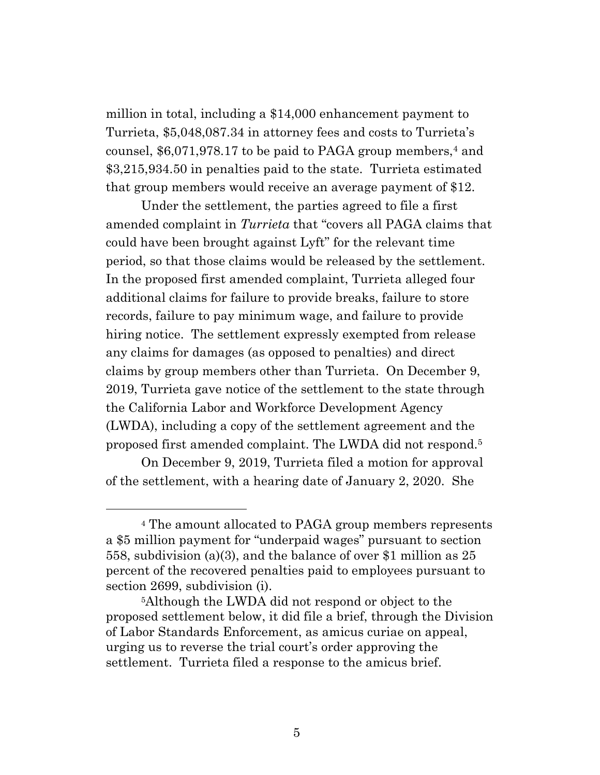million in total, including a \$14,000 enhancement payment to Turrieta, \$5,048,087.34 in attorney fees and costs to Turrieta's counsel,  $$6,071,978.17$  to be paid to PAGA group members,<sup>4</sup> and \$3,215,934.50 in penalties paid to the state. Turrieta estimated that group members would receive an average payment of \$12.

Under the settlement, the parties agreed to file a first amended complaint in *Turrieta* that "covers all PAGA claims that could have been brought against Lyft" for the relevant time period, so that those claims would be released by the settlement. In the proposed first amended complaint, Turrieta alleged four additional claims for failure to provide breaks, failure to store records, failure to pay minimum wage, and failure to provide hiring notice. The settlement expressly exempted from release any claims for damages (as opposed to penalties) and direct claims by group members other than Turrieta. On December 9, 2019, Turrieta gave notice of the settlement to the state through the California Labor and Workforce Development Agency (LWDA), including a copy of the settlement agreement and the proposed first amended complaint. The LWDA did not respond.<sup>5</sup>

On December 9, 2019, Turrieta filed a motion for approval of the settlement, with a hearing date of January 2, 2020. She

<sup>4</sup> The amount allocated to PAGA group members represents a \$5 million payment for "underpaid wages" pursuant to section 558, subdivision (a)(3), and the balance of over \$1 million as 25 percent of the recovered penalties paid to employees pursuant to section 2699, subdivision (i).

<sup>5</sup>Although the LWDA did not respond or object to the proposed settlement below, it did file a brief, through the Division of Labor Standards Enforcement, as amicus curiae on appeal, urging us to reverse the trial court's order approving the settlement. Turrieta filed a response to the amicus brief.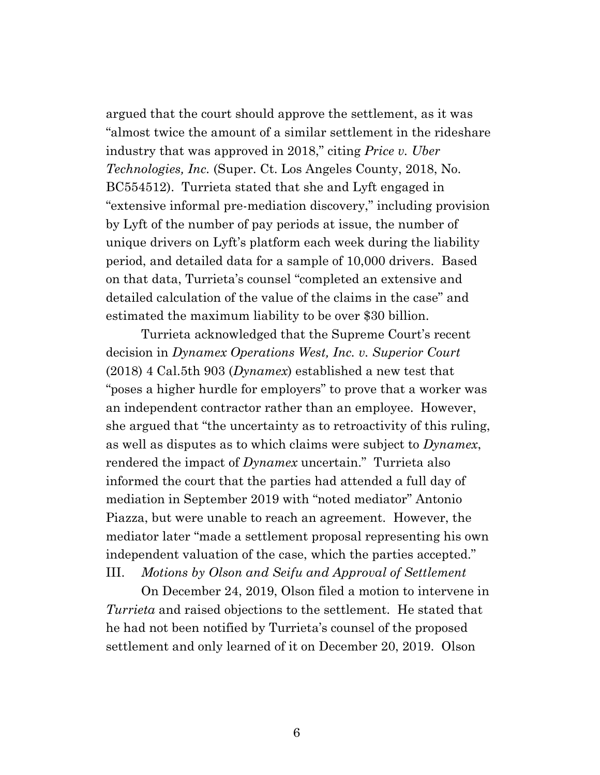argued that the court should approve the settlement, as it was "almost twice the amount of a similar settlement in the rideshare industry that was approved in 2018," citing *Price v. Uber Technologies, Inc.* (Super. Ct. Los Angeles County, 2018, No. BC554512). Turrieta stated that she and Lyft engaged in "extensive informal pre-mediation discovery," including provision by Lyft of the number of pay periods at issue, the number of unique drivers on Lyft's platform each week during the liability period, and detailed data for a sample of 10,000 drivers. Based on that data, Turrieta's counsel "completed an extensive and detailed calculation of the value of the claims in the case" and estimated the maximum liability to be over \$30 billion.

Turrieta acknowledged that the Supreme Court's recent decision in *Dynamex Operations West, Inc. v. Superior Court* (2018) 4 Cal.5th 903 (*Dynamex*) established a new test that "poses a higher hurdle for employers" to prove that a worker was an independent contractor rather than an employee. However, she argued that "the uncertainty as to retroactivity of this ruling, as well as disputes as to which claims were subject to *Dynamex*, rendered the impact of *Dynamex* uncertain." Turrieta also informed the court that the parties had attended a full day of mediation in September 2019 with "noted mediator" Antonio Piazza, but were unable to reach an agreement. However, the mediator later "made a settlement proposal representing his own independent valuation of the case, which the parties accepted." III. *Motions by Olson and Seifu and Approval of Settlement*

On December 24, 2019, Olson filed a motion to intervene in *Turrieta* and raised objections to the settlement. He stated that he had not been notified by Turrieta's counsel of the proposed settlement and only learned of it on December 20, 2019. Olson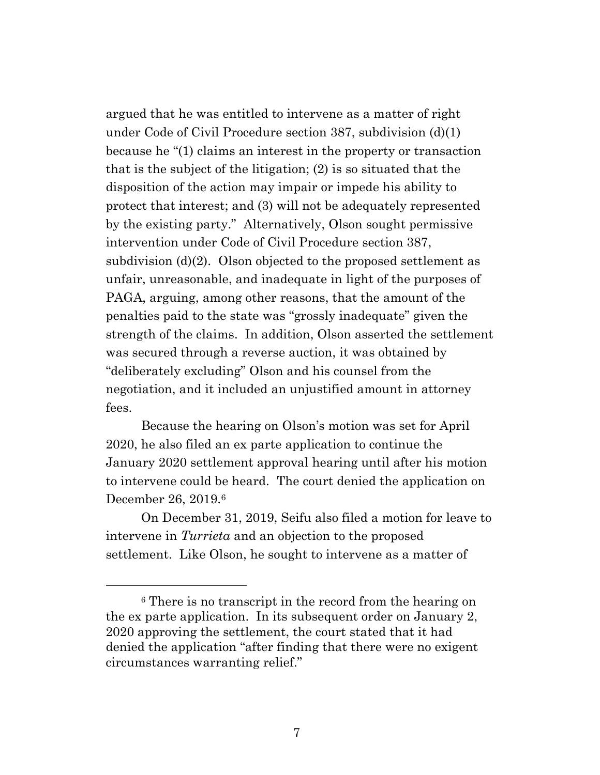argued that he was entitled to intervene as a matter of right under Code of Civil Procedure section 387, subdivision (d)(1) because he "(1) claims an interest in the property or transaction that is the subject of the litigation; (2) is so situated that the disposition of the action may impair or impede his ability to protect that interest; and (3) will not be adequately represented by the existing party." Alternatively, Olson sought permissive intervention under Code of Civil Procedure section 387, subdivision (d)(2). Olson objected to the proposed settlement as unfair, unreasonable, and inadequate in light of the purposes of PAGA, arguing, among other reasons, that the amount of the penalties paid to the state was "grossly inadequate" given the strength of the claims. In addition, Olson asserted the settlement was secured through a reverse auction, it was obtained by "deliberately excluding" Olson and his counsel from the negotiation, and it included an unjustified amount in attorney fees.

Because the hearing on Olson's motion was set for April 2020, he also filed an ex parte application to continue the January 2020 settlement approval hearing until after his motion to intervene could be heard. The court denied the application on December 26, 2019.<sup>6</sup>

On December 31, 2019, Seifu also filed a motion for leave to intervene in *Turrieta* and an objection to the proposed settlement. Like Olson, he sought to intervene as a matter of

<sup>6</sup> There is no transcript in the record from the hearing on the ex parte application. In its subsequent order on January 2, 2020 approving the settlement, the court stated that it had denied the application "after finding that there were no exigent circumstances warranting relief."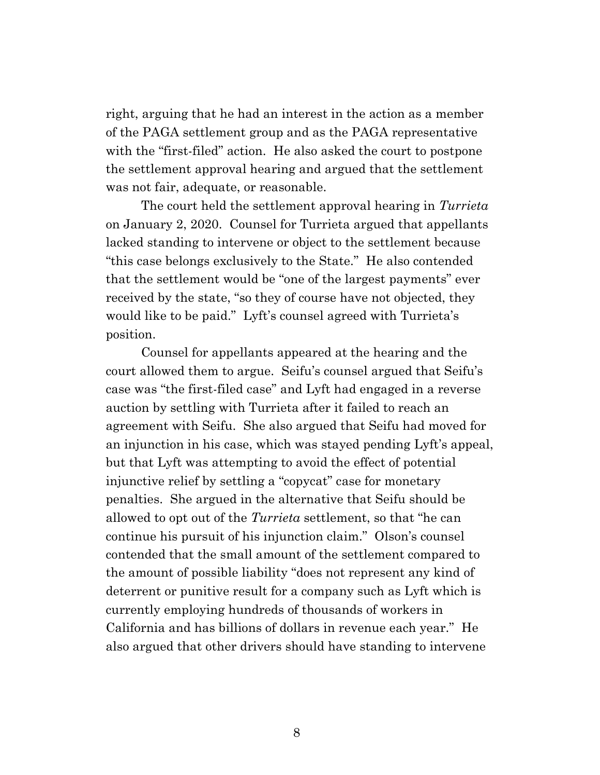right, arguing that he had an interest in the action as a member of the PAGA settlement group and as the PAGA representative with the "first-filed" action. He also asked the court to postpone the settlement approval hearing and argued that the settlement was not fair, adequate, or reasonable.

The court held the settlement approval hearing in *Turrieta* on January 2, 2020. Counsel for Turrieta argued that appellants lacked standing to intervene or object to the settlement because "this case belongs exclusively to the State." He also contended that the settlement would be "one of the largest payments" ever received by the state, "so they of course have not objected, they would like to be paid." Lyft's counsel agreed with Turrieta's position.

Counsel for appellants appeared at the hearing and the court allowed them to argue. Seifu's counsel argued that Seifu's case was "the first-filed case" and Lyft had engaged in a reverse auction by settling with Turrieta after it failed to reach an agreement with Seifu. She also argued that Seifu had moved for an injunction in his case, which was stayed pending Lyft's appeal, but that Lyft was attempting to avoid the effect of potential injunctive relief by settling a "copycat" case for monetary penalties. She argued in the alternative that Seifu should be allowed to opt out of the *Turrieta* settlement, so that "he can continue his pursuit of his injunction claim." Olson's counsel contended that the small amount of the settlement compared to the amount of possible liability "does not represent any kind of deterrent or punitive result for a company such as Lyft which is currently employing hundreds of thousands of workers in California and has billions of dollars in revenue each year." He also argued that other drivers should have standing to intervene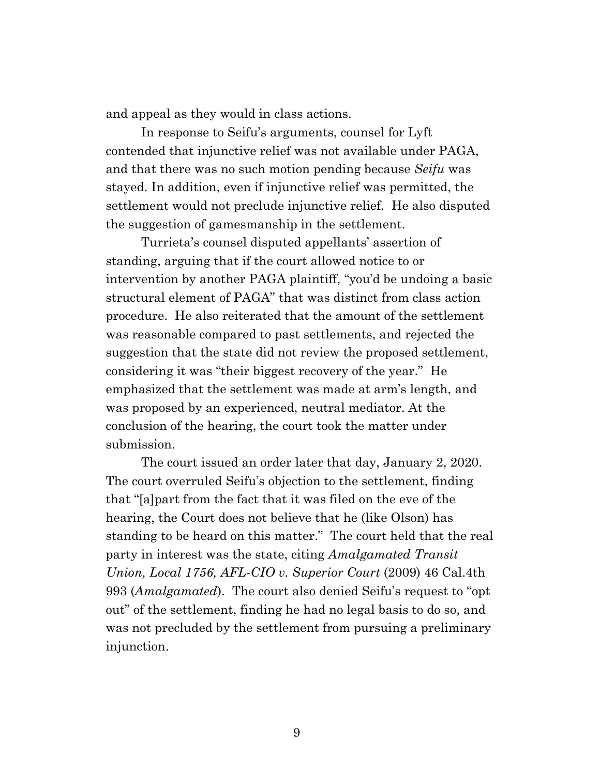and appeal as they would in class actions.

In response to Seifu's arguments, counsel for Lyft contended that injunctive relief was not available under PAGA, and that there was no such motion pending because *Seifu* was stayed. In addition, even if injunctive relief was permitted, the settlement would not preclude injunctive relief. He also disputed the suggestion of gamesmanship in the settlement.

Turrieta's counsel disputed appellants' assertion of standing, arguing that if the court allowed notice to or intervention by another PAGA plaintiff, "you'd be undoing a basic structural element of PAGA" that was distinct from class action procedure. He also reiterated that the amount of the settlement was reasonable compared to past settlements, and rejected the suggestion that the state did not review the proposed settlement, considering it was "their biggest recovery of the year." He emphasized that the settlement was made at arm's length, and was proposed by an experienced, neutral mediator. At the conclusion of the hearing, the court took the matter under submission.

The court issued an order later that day, January 2, 2020. The court overruled Seifu's objection to the settlement, finding that "[a]part from the fact that it was filed on the eve of the hearing, the Court does not believe that he (like Olson) has standing to be heard on this matter." The court held that the real party in interest was the state, citing *Amalgamated Transit Union, Local 1756, AFL-CIO v. Superior Court* (2009) 46 Cal.4th 993 (*Amalgamated*). The court also denied Seifu's request to "opt out" of the settlement, finding he had no legal basis to do so, and was not precluded by the settlement from pursuing a preliminary injunction.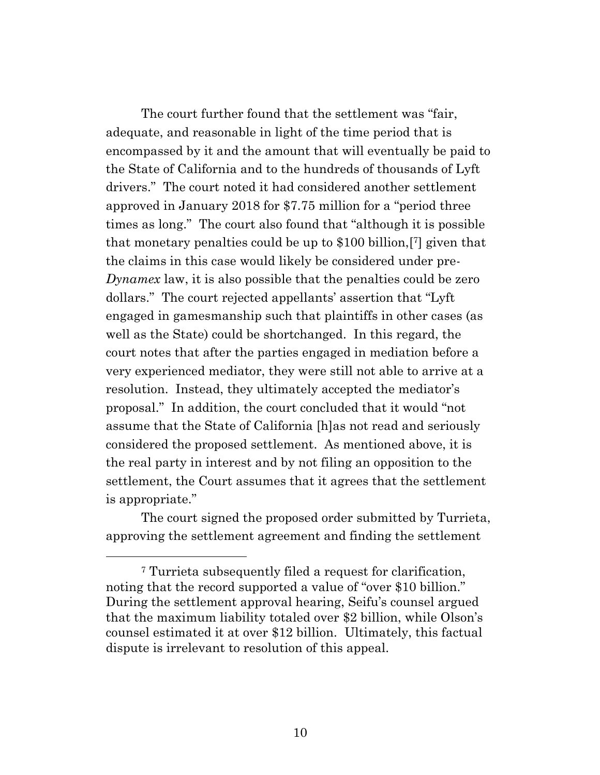The court further found that the settlement was "fair, adequate, and reasonable in light of the time period that is encompassed by it and the amount that will eventually be paid to the State of California and to the hundreds of thousands of Lyft drivers." The court noted it had considered another settlement approved in January 2018 for \$7.75 million for a "period three times as long." The court also found that "although it is possible that monetary penalties could be up to \$100 billion,[ <sup>7</sup>] given that the claims in this case would likely be considered under pre-*Dynamex* law, it is also possible that the penalties could be zero dollars." The court rejected appellants' assertion that "Lyft engaged in gamesmanship such that plaintiffs in other cases (as well as the State) could be shortchanged. In this regard, the court notes that after the parties engaged in mediation before a very experienced mediator, they were still not able to arrive at a resolution. Instead, they ultimately accepted the mediator's proposal." In addition, the court concluded that it would "not assume that the State of California [h]as not read and seriously considered the proposed settlement. As mentioned above, it is the real party in interest and by not filing an opposition to the settlement, the Court assumes that it agrees that the settlement is appropriate."

The court signed the proposed order submitted by Turrieta, approving the settlement agreement and finding the settlement

<sup>7</sup> Turrieta subsequently filed a request for clarification, noting that the record supported a value of "over \$10 billion." During the settlement approval hearing, Seifu's counsel argued that the maximum liability totaled over \$2 billion, while Olson's counsel estimated it at over \$12 billion. Ultimately, this factual dispute is irrelevant to resolution of this appeal.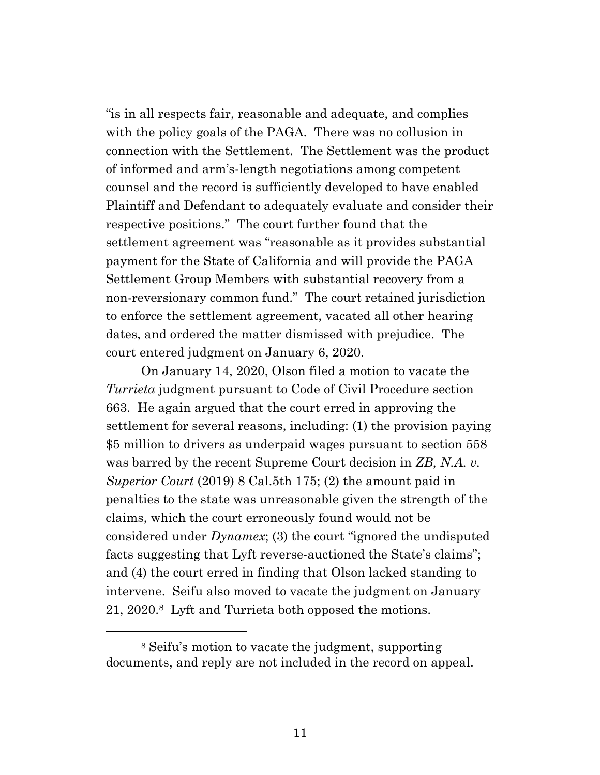"is in all respects fair, reasonable and adequate, and complies with the policy goals of the PAGA. There was no collusion in connection with the Settlement. The Settlement was the product of informed and arm's-length negotiations among competent counsel and the record is sufficiently developed to have enabled Plaintiff and Defendant to adequately evaluate and consider their respective positions." The court further found that the settlement agreement was "reasonable as it provides substantial payment for the State of California and will provide the PAGA Settlement Group Members with substantial recovery from a non-reversionary common fund." The court retained jurisdiction to enforce the settlement agreement, vacated all other hearing dates, and ordered the matter dismissed with prejudice. The court entered judgment on January 6, 2020.

On January 14, 2020, Olson filed a motion to vacate the *Turrieta* judgment pursuant to Code of Civil Procedure section 663. He again argued that the court erred in approving the settlement for several reasons, including: (1) the provision paying \$5 million to drivers as underpaid wages pursuant to section 558 was barred by the recent Supreme Court decision in *ZB, N.A. v. Superior Court* (2019) 8 Cal.5th 175; (2) the amount paid in penalties to the state was unreasonable given the strength of the claims, which the court erroneously found would not be considered under *Dynamex*; (3) the court "ignored the undisputed facts suggesting that Lyft reverse-auctioned the State's claims"; and (4) the court erred in finding that Olson lacked standing to intervene. Seifu also moved to vacate the judgment on January 21, 2020.<sup>8</sup> Lyft and Turrieta both opposed the motions.

<sup>8</sup> Seifu's motion to vacate the judgment, supporting documents, and reply are not included in the record on appeal.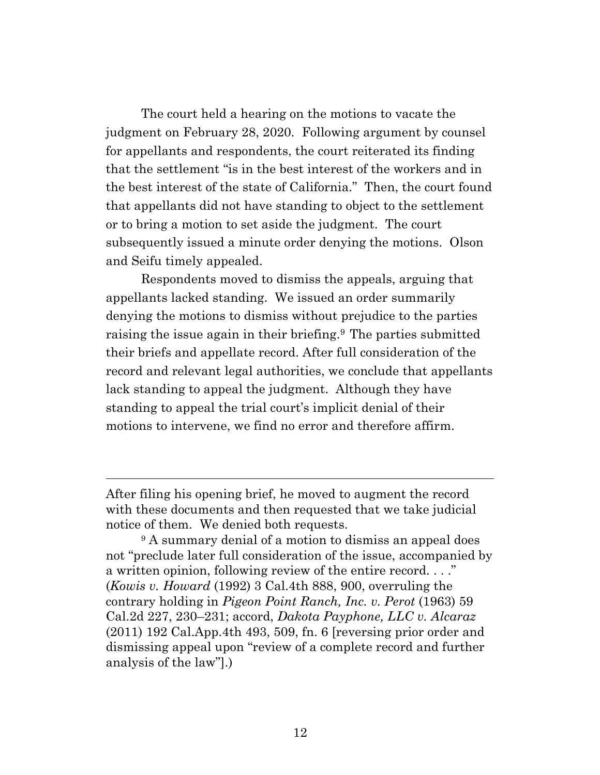The court held a hearing on the motions to vacate the judgment on February 28, 2020. Following argument by counsel for appellants and respondents, the court reiterated its finding that the settlement "is in the best interest of the workers and in the best interest of the state of California." Then, the court found that appellants did not have standing to object to the settlement or to bring a motion to set aside the judgment. The court subsequently issued a minute order denying the motions. Olson and Seifu timely appealed.

Respondents moved to dismiss the appeals, arguing that appellants lacked standing. We issued an order summarily denying the motions to dismiss without prejudice to the parties raising the issue again in their briefing.<sup>9</sup> The parties submitted their briefs and appellate record. After full consideration of the record and relevant legal authorities, we conclude that appellants lack standing to appeal the judgment. Although they have standing to appeal the trial court's implicit denial of their motions to intervene, we find no error and therefore affirm.

After filing his opening brief, he moved to augment the record with these documents and then requested that we take judicial notice of them. We denied both requests.

<sup>&</sup>lt;sup>9</sup> A summary denial of a motion to dismiss an appeal does not "preclude later full consideration of the issue, accompanied by a written opinion, following review of the entire record. . . ." (*Kowis v. Howard* (1992) 3 Cal.4th 888, 900, overruling the contrary holding in *Pigeon Point Ranch, Inc. v. Perot* (1963) 59 Cal.2d 227, 230–231; accord, *Dakota Payphone, LLC v. Alcaraz* (2011) 192 Cal.App.4th 493, 509, fn. 6 [reversing prior order and dismissing appeal upon "review of a complete record and further analysis of the law"].)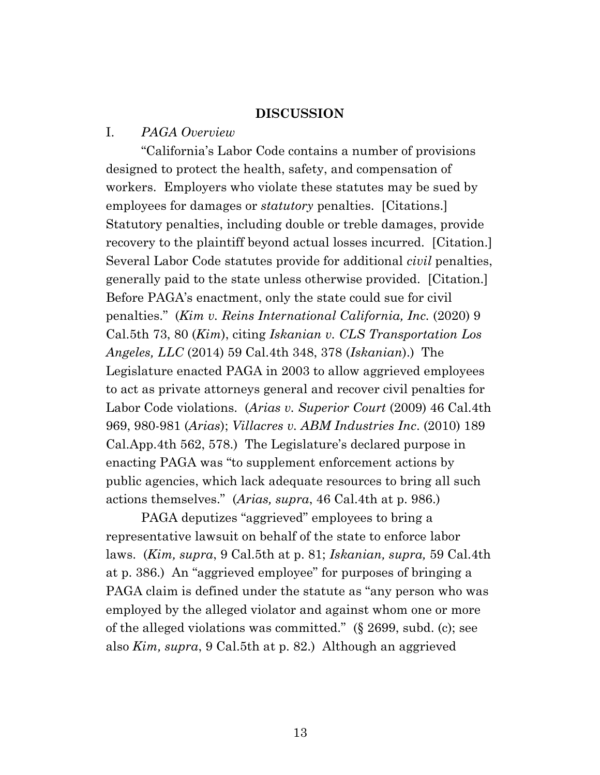#### **DISCUSSION**

#### I. *PAGA Overview*

"California's Labor Code contains a number of provisions designed to protect the health, safety, and compensation of workers. Employers who violate these statutes may be sued by employees for damages or *statutory* penalties. [Citations.] Statutory penalties, including double or treble damages, provide recovery to the plaintiff beyond actual losses incurred. [Citation.] Several Labor Code statutes provide for additional *civil* penalties, generally paid to the state unless otherwise provided. [Citation.] Before PAGA's enactment, only the state could sue for civil penalties." (*Kim v. Reins International California, Inc.* (2020) 9 Cal.5th 73, 80 (*Kim*), citing *Iskanian v. CLS Transportation Los Angeles, LLC* (2014) 59 Cal.4th 348, 378 (*Iskanian*).) The Legislature enacted PAGA in 2003 to allow aggrieved employees to act as private attorneys general and recover civil penalties for Labor Code violations. (*Arias v. Superior Court* (2009) 46 Cal.4th 969, 980-981 (*Arias*); *Villacres v. ABM Industries Inc*. (2010) 189 Cal.App.4th 562, 578.) The Legislature's declared purpose in enacting PAGA was "to supplement enforcement actions by public agencies, which lack adequate resources to bring all such actions themselves." (*Arias, supra*, 46 Cal.4th at p. 986.)

PAGA deputizes "aggrieved" employees to bring a representative lawsuit on behalf of the state to enforce labor laws. (*Kim, supra*, 9 Cal.5th at p. 81; *Iskanian, supra,* 59 Cal.4th at p. 386.) An "aggrieved employee" for purposes of bringing a PAGA claim is defined under the statute as "any person who was employed by the alleged violator and against whom one or more of the alleged violations was committed." (§ 2699, subd. (c); see also *Kim, supra*, 9 Cal.5th at p. 82.) Although an aggrieved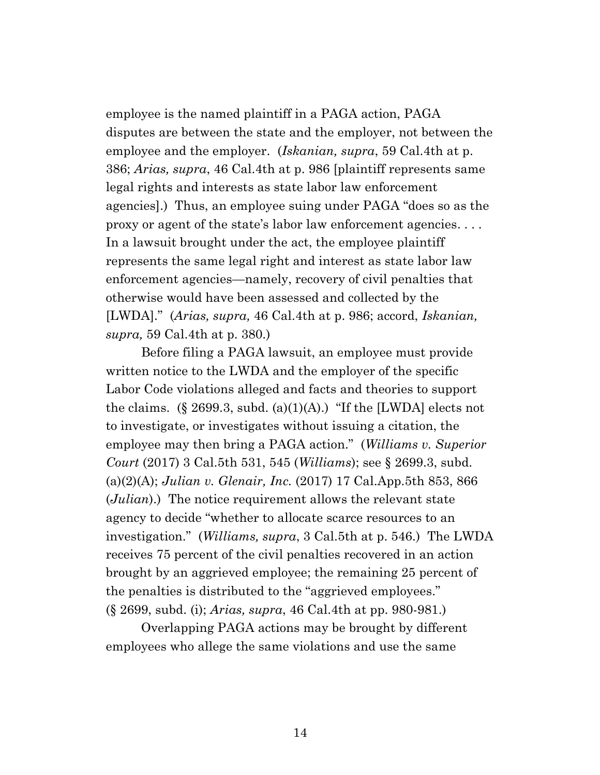employee is the named plaintiff in a PAGA action, PAGA disputes are between the state and the employer, not between the employee and the employer. (*Iskanian, supra*, 59 Cal.4th at p. 386; *Arias, supra*, 46 Cal.4th at p. 986 [plaintiff represents same legal rights and interests as state labor law enforcement agencies].) Thus, an employee suing under PAGA "does so as the proxy or agent of the state's labor law enforcement agencies. . . . In a lawsuit brought under the act, the employee plaintiff represents the same legal right and interest as state labor law enforcement agencies—namely, recovery of civil penalties that otherwise would have been assessed and collected by the [LWDA]." (*Arias, supra,* 46 Cal.4th at p. 986; accord, *Iskanian, supra,* 59 Cal.4th at p. 380.)

Before filing a PAGA lawsuit, an employee must provide written notice to the LWDA and the employer of the specific Labor Code violations alleged and facts and theories to support the claims.  $(\S 2699.3, \text{subd. (a)(1)(A))}$  "If the [LWDA] elects not to investigate, or investigates without issuing a citation, the employee may then bring a PAGA action." (*Williams v. Superior Court* (2017) 3 Cal.5th 531, 545 (*Williams*); see § 2699.3, subd. (a)(2)(A); *Julian v. Glenair, Inc.* (2017) 17 Cal.App.5th 853, 866 (*Julian*).) The notice requirement allows the relevant state agency to decide "whether to allocate scarce resources to an investigation." (*Williams, supra*, 3 Cal.5th at p. 546.) The LWDA receives 75 percent of the civil penalties recovered in an action brought by an aggrieved employee; the remaining 25 percent of the penalties is distributed to the "aggrieved employees." (§ 2699, subd. (i); *Arias, supra*, 46 Cal.4th at pp. 980-981.)

Overlapping PAGA actions may be brought by different employees who allege the same violations and use the same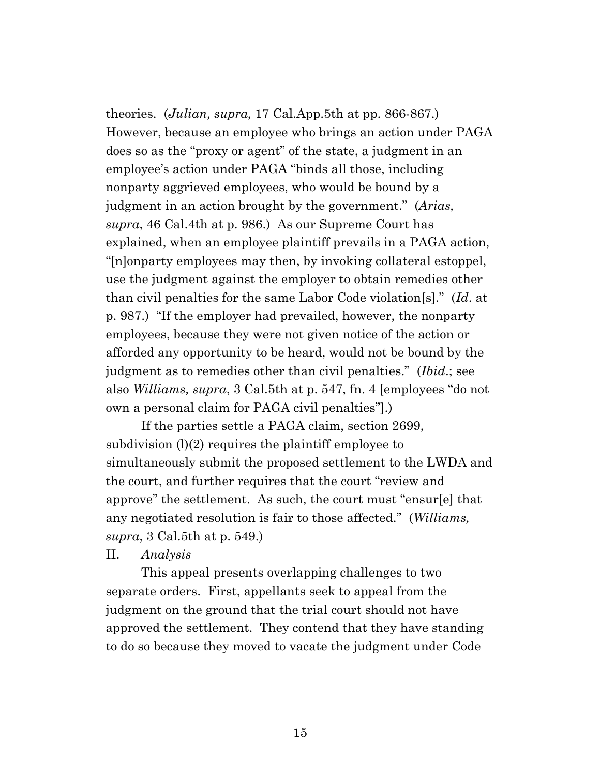theories. (*Julian, supra,* 17 Cal.App.5th at pp. 866-867.) However, because an employee who brings an action under PAGA does so as the "proxy or agent" of the state, a judgment in an employee's action under PAGA "binds all those, including nonparty aggrieved employees, who would be bound by a judgment in an action brought by the government." (*Arias, supra*, 46 Cal.4th at p. 986.) As our Supreme Court has explained, when an employee plaintiff prevails in a PAGA action, "[n]onparty employees may then, by invoking collateral estoppel, use the judgment against the employer to obtain remedies other than civil penalties for the same Labor Code violation[s]." (*Id*. at p. 987.) "If the employer had prevailed, however, the nonparty employees, because they were not given notice of the action or afforded any opportunity to be heard, would not be bound by the judgment as to remedies other than civil penalties." (*Ibid*.; see also *Williams, supra*, 3 Cal.5th at p. 547, fn. 4 [employees "do not own a personal claim for PAGA civil penalties"].)

If the parties settle a PAGA claim, section 2699, subdivision  $(l)(2)$  requires the plaintiff employee to simultaneously submit the proposed settlement to the LWDA and the court, and further requires that the court "review and approve" the settlement. As such, the court must "ensur[e] that any negotiated resolution is fair to those affected." (*Williams, supra*, 3 Cal.5th at p. 549.)

II. *Analysis*

This appeal presents overlapping challenges to two separate orders. First, appellants seek to appeal from the judgment on the ground that the trial court should not have approved the settlement. They contend that they have standing to do so because they moved to vacate the judgment under Code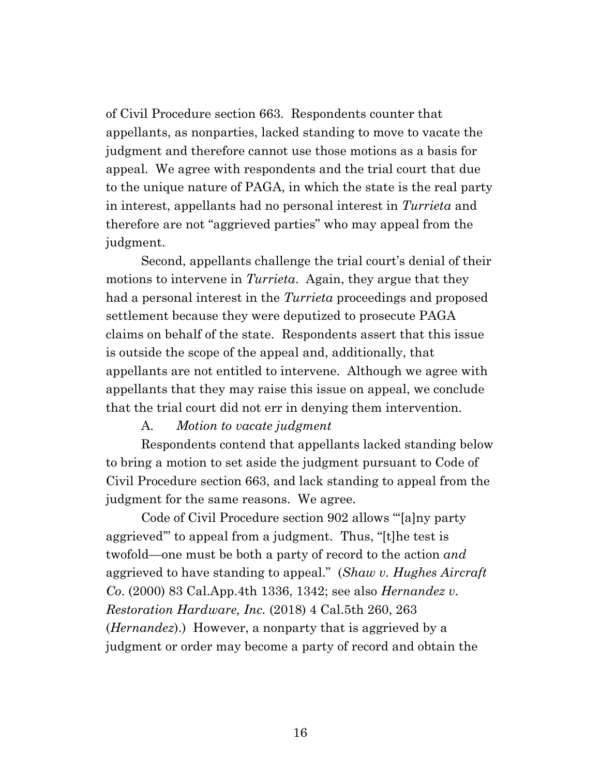of Civil Procedure section 663. Respondents counter that appellants, as nonparties, lacked standing to move to vacate the judgment and therefore cannot use those motions as a basis for appeal. We agree with respondents and the trial court that due to the unique nature of PAGA, in which the state is the real party in interest, appellants had no personal interest in *Turrieta* and therefore are not "aggrieved parties" who may appeal from the judgment.

Second, appellants challenge the trial court's denial of their motions to intervene in *Turrieta*. Again, they argue that they had a personal interest in the *Turrieta* proceedings and proposed settlement because they were deputized to prosecute PAGA claims on behalf of the state. Respondents assert that this issue is outside the scope of the appeal and, additionally, that appellants are not entitled to intervene. Although we agree with appellants that they may raise this issue on appeal, we conclude that the trial court did not err in denying them intervention.

#### A. *Motion to vacate judgment*

Respondents contend that appellants lacked standing below to bring a motion to set aside the judgment pursuant to Code of Civil Procedure section 663, and lack standing to appeal from the judgment for the same reasons. We agree.

Code of Civil Procedure section 902 allows "'[a]ny party aggrieved'" to appeal from a judgment. Thus, "[t]he test is twofold—one must be both a party of record to the action *and* aggrieved to have standing to appeal." (*Shaw v. Hughes Aircraft Co*. (2000) 83 Cal.App.4th 1336, 1342; see also *Hernandez v. Restoration Hardware, Inc.* (2018) 4 Cal.5th 260, 263 (*Hernandez*).) However, a nonparty that is aggrieved by a judgment or order may become a party of record and obtain the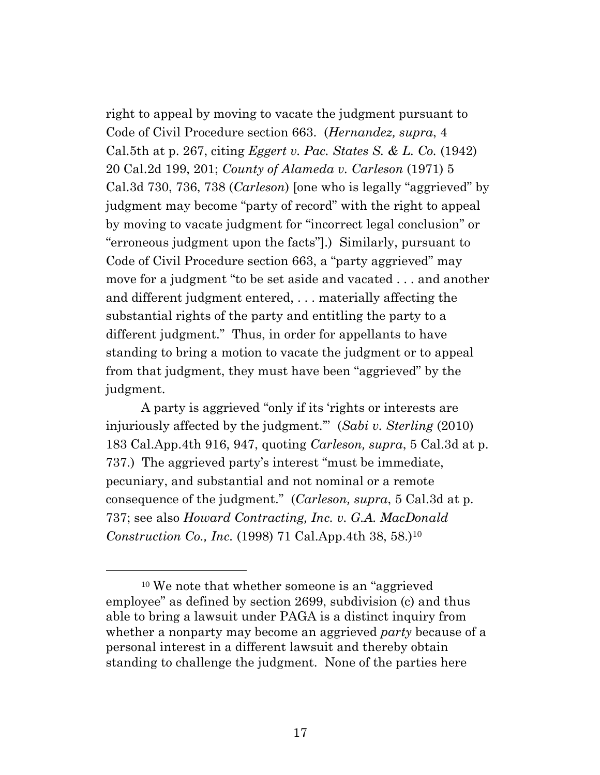right to appeal by moving to vacate the judgment pursuant to Code of Civil Procedure section 663. (*Hernandez, supra*, 4 Cal.5th at p. 267, citing *Eggert v. Pac. States S. & L. Co.* (1942) 20 Cal.2d 199, 201; *County of Alameda v. Carleson* (1971) 5 Cal.3d 730, 736, 738 (*Carleson*) [one who is legally "aggrieved" by judgment may become "party of record" with the right to appeal by moving to vacate judgment for "incorrect legal conclusion" or "erroneous judgment upon the facts"].) Similarly, pursuant to Code of Civil Procedure section 663, a "party aggrieved" may move for a judgment "to be set aside and vacated . . . and another and different judgment entered, . . . materially affecting the substantial rights of the party and entitling the party to a different judgment." Thus, in order for appellants to have standing to bring a motion to vacate the judgment or to appeal from that judgment, they must have been "aggrieved" by the judgment.

A party is aggrieved "only if its 'rights or interests are injuriously affected by the judgment.'" (*Sabi v. Sterling* (2010) 183 Cal.App.4th 916, 947, quoting *Carleson, supra*, 5 Cal.3d at p. 737.) The aggrieved party's interest "must be immediate, pecuniary, and substantial and not nominal or a remote consequence of the judgment." (*Carleson, supra*, 5 Cal.3d at p. 737; see also *Howard Contracting, Inc. v. G.A. MacDonald Construction Co., Inc.* (1998) 71 Cal.App.4th 38, 58.)<sup>10</sup>

<sup>10</sup> We note that whether someone is an "aggrieved employee" as defined by section 2699, subdivision (c) and thus able to bring a lawsuit under PAGA is a distinct inquiry from whether a nonparty may become an aggrieved *party* because of a personal interest in a different lawsuit and thereby obtain standing to challenge the judgment. None of the parties here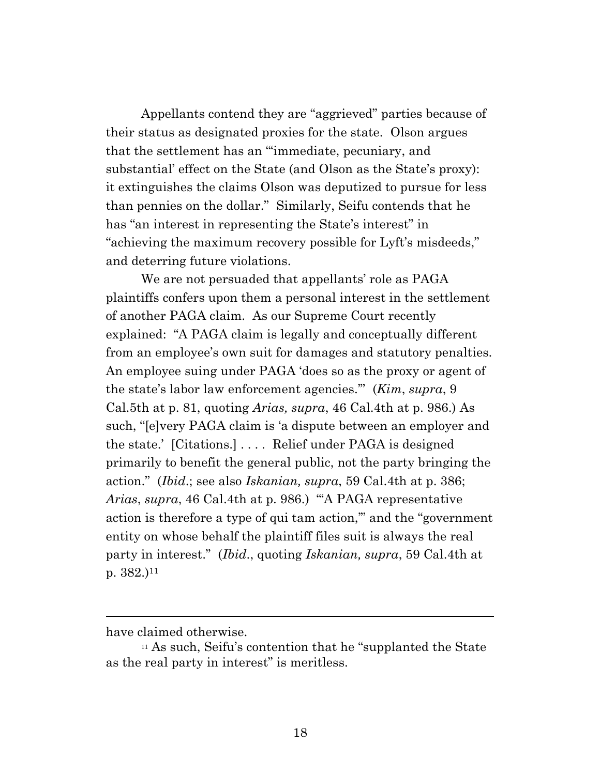Appellants contend they are "aggrieved" parties because of their status as designated proxies for the state. Olson argues that the settlement has an "'immediate, pecuniary, and substantial' effect on the State (and Olson as the State's proxy): it extinguishes the claims Olson was deputized to pursue for less than pennies on the dollar." Similarly, Seifu contends that he has "an interest in representing the State's interest" in "achieving the maximum recovery possible for Lyft's misdeeds," and deterring future violations.

We are not persuaded that appellants' role as PAGA plaintiffs confers upon them a personal interest in the settlement of another PAGA claim. As our Supreme Court recently explained: "A PAGA claim is legally and conceptually different from an employee's own suit for damages and statutory penalties. An employee suing under PAGA 'does so as the proxy or agent of the state's labor law enforcement agencies.'" (*Kim*, *supra*, 9 Cal.5th at p. 81, quoting *Arias, supra*, 46 Cal.4th at p. 986.) As such, "[e]very PAGA claim is 'a dispute between an employer and the state.' [Citations.] . . . . Relief under PAGA is designed primarily to benefit the general public, not the party bringing the action." (*Ibid*.; see also *Iskanian, supra*, 59 Cal.4th at p. 386; *Arias*, *supra*, 46 Cal.4th at p. 986.) "'A PAGA representative action is therefore a type of qui tam action,'" and the "government entity on whose behalf the plaintiff files suit is always the real party in interest." (*Ibid*., quoting *Iskanian, supra*, 59 Cal.4th at p.  $382.$ )<sup>11</sup>

have claimed otherwise.

<sup>11</sup> As such, Seifu's contention that he "supplanted the State as the real party in interest" is meritless.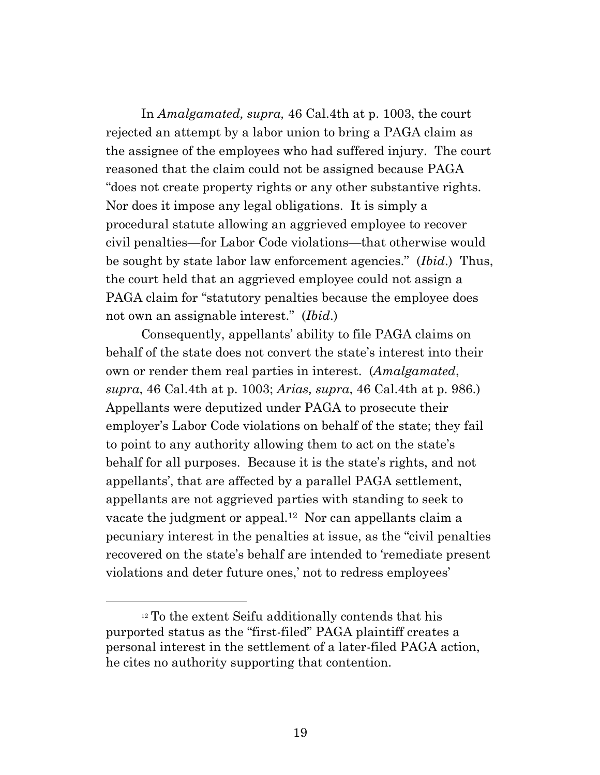In *Amalgamated, supra,* 46 Cal.4th at p. 1003, the court rejected an attempt by a labor union to bring a PAGA claim as the assignee of the employees who had suffered injury. The court reasoned that the claim could not be assigned because PAGA "does not create property rights or any other substantive rights. Nor does it impose any legal obligations. It is simply a procedural statute allowing an aggrieved employee to recover civil penalties—for Labor Code violations—that otherwise would be sought by state labor law enforcement agencies." (*Ibid*.) Thus, the court held that an aggrieved employee could not assign a PAGA claim for "statutory penalties because the employee does not own an assignable interest." (*Ibid*.)

Consequently, appellants' ability to file PAGA claims on behalf of the state does not convert the state's interest into their own or render them real parties in interest. (*Amalgamated*, *supra*, 46 Cal.4th at p. 1003; *Arias, supra*, 46 Cal.4th at p. 986.) Appellants were deputized under PAGA to prosecute their employer's Labor Code violations on behalf of the state; they fail to point to any authority allowing them to act on the state's behalf for all purposes. Because it is the state's rights, and not appellants', that are affected by a parallel PAGA settlement, appellants are not aggrieved parties with standing to seek to vacate the judgment or appeal. <sup>12</sup> Nor can appellants claim a pecuniary interest in the penalties at issue, as the "civil penalties recovered on the state's behalf are intended to 'remediate present violations and deter future ones,' not to redress employees'

<sup>&</sup>lt;sup>12</sup> To the extent Seifu additionally contends that his purported status as the "first-filed" PAGA plaintiff creates a personal interest in the settlement of a later-filed PAGA action, he cites no authority supporting that contention.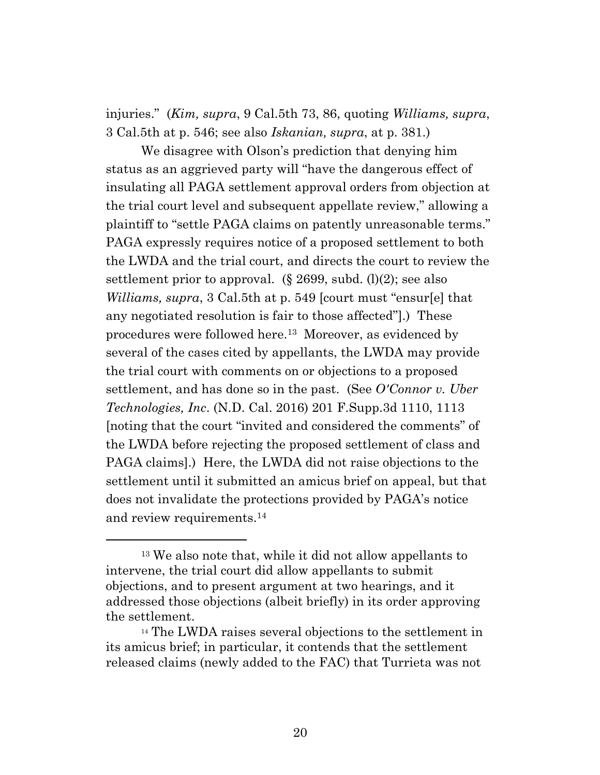injuries." (*Kim, supra*, 9 Cal.5th 73, 86, quoting *Williams, supra*, 3 Cal.5th at p. 546; see also *Iskanian, supra*, at p. 381.)

We disagree with Olson's prediction that denying him status as an aggrieved party will "have the dangerous effect of insulating all PAGA settlement approval orders from objection at the trial court level and subsequent appellate review," allowing a plaintiff to "settle PAGA claims on patently unreasonable terms." PAGA expressly requires notice of a proposed settlement to both the LWDA and the trial court, and directs the court to review the settlement prior to approval.  $(\S 2699, \text{subd}, (l)(2))$ ; see also *Williams, supra*, 3 Cal.5th at p. 549 [court must "ensur[e] that any negotiated resolution is fair to those affected"].) These procedures were followed here.<sup>13</sup> Moreover, as evidenced by several of the cases cited by appellants, the LWDA may provide the trial court with comments on or objections to a proposed settlement, and has done so in the past. (See *O'Connor v. Uber Technologies, Inc*. (N.D. Cal. 2016) 201 F.Supp.3d 1110, 1113 [noting that the court "invited and considered the comments" of the LWDA before rejecting the proposed settlement of class and PAGA claims].) Here, the LWDA did not raise objections to the settlement until it submitted an amicus brief on appeal, but that does not invalidate the protections provided by PAGA's notice and review requirements.<sup>14</sup>

<sup>13</sup> We also note that, while it did not allow appellants to intervene, the trial court did allow appellants to submit objections, and to present argument at two hearings, and it addressed those objections (albeit briefly) in its order approving the settlement.

<sup>14</sup> The LWDA raises several objections to the settlement in its amicus brief; in particular, it contends that the settlement released claims (newly added to the FAC) that Turrieta was not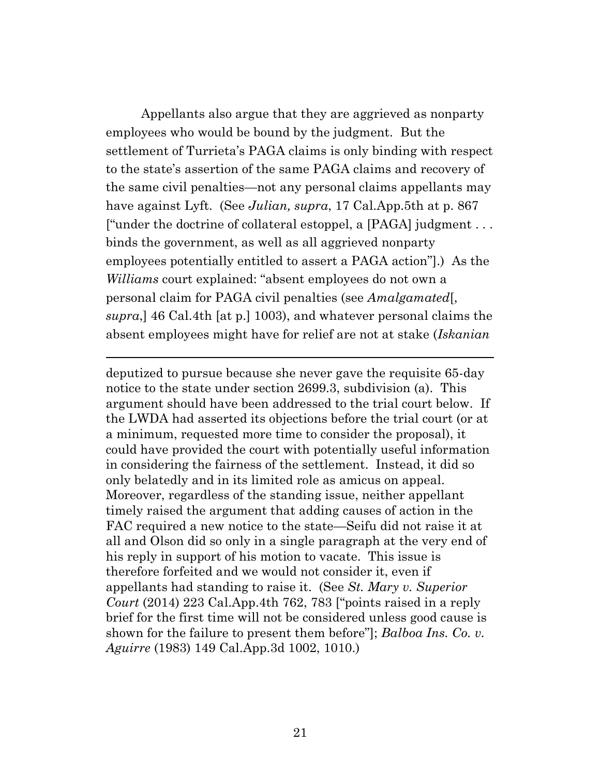Appellants also argue that they are aggrieved as nonparty employees who would be bound by the judgment. But the settlement of Turrieta's PAGA claims is only binding with respect to the state's assertion of the same PAGA claims and recovery of the same civil penalties—not any personal claims appellants may have against Lyft. (See *Julian, supra*, 17 Cal.App.5th at p. 867 ["under the doctrine of collateral estoppel, a [PAGA] judgment . . . binds the government, as well as all aggrieved nonparty employees potentially entitled to assert a PAGA action"].) As the *Williams* court explained: "absent employees do not own a personal claim for PAGA civil penalties (see *Amalgamated*[, *supra*,] 46 Cal.4th [at p.] 1003), and whatever personal claims the absent employees might have for relief are not at stake (*Iskanian*

deputized to pursue because she never gave the requisite 65-day notice to the state under section 2699.3, subdivision (a). This argument should have been addressed to the trial court below. If the LWDA had asserted its objections before the trial court (or at a minimum, requested more time to consider the proposal), it could have provided the court with potentially useful information in considering the fairness of the settlement. Instead, it did so only belatedly and in its limited role as amicus on appeal. Moreover, regardless of the standing issue, neither appellant timely raised the argument that adding causes of action in the FAC required a new notice to the state—Seifu did not raise it at all and Olson did so only in a single paragraph at the very end of his reply in support of his motion to vacate. This issue is therefore forfeited and we would not consider it, even if appellants had standing to raise it. (See *St. Mary v. Superior Court* (2014) 223 Cal.App.4th 762, 783 ["points raised in a reply brief for the first time will not be considered unless good cause is shown for the failure to present them before"]; *Balboa Ins. Co. v. Aguirre* (1983) 149 Cal.App.3d 1002, 1010.)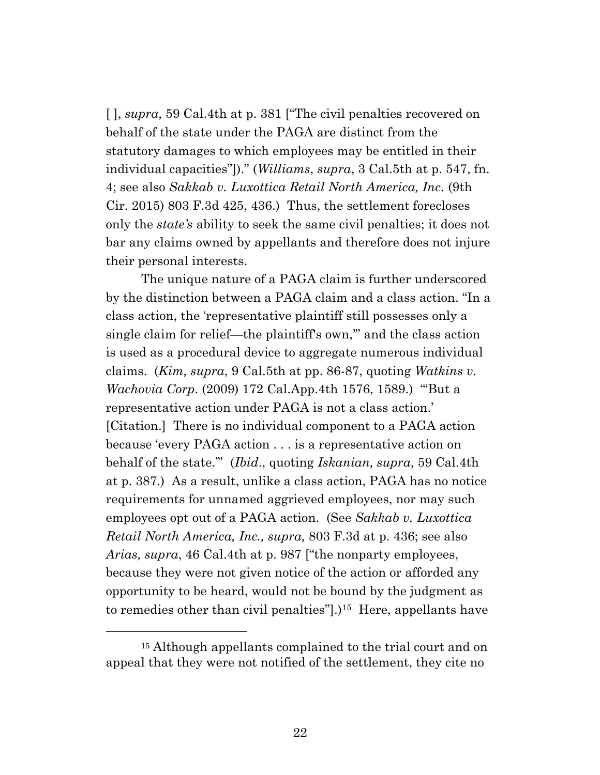[ ], *supra*, 59 Cal.4th at p. 381 ["The civil penalties recovered on behalf of the state under the PAGA are distinct from the statutory damages to which employees may be entitled in their individual capacities"])." (*Williams*, *supra*, 3 Cal.5th at p. 547, fn. 4; see also *Sakkab v. Luxottica Retail North America, Inc.* (9th Cir. 2015) 803 F.3d 425, 436.) Thus, the settlement forecloses only the *state's* ability to seek the same civil penalties; it does not bar any claims owned by appellants and therefore does not injure their personal interests.

The unique nature of a PAGA claim is further underscored by the distinction between a PAGA claim and a class action. "In a class action, the 'representative plaintiff still possesses only a single claim for relief—the plaintiff's own,'" and the class action is used as a procedural device to aggregate numerous individual claims. (*Kim, supra*, 9 Cal.5th at pp. 86-87, quoting *Watkins v. Wachovia Corp*. (2009) 172 Cal.App.4th 1576, 1589.) "'But a representative action under PAGA is not a class action.' [Citation.] There is no individual component to a PAGA action because 'every PAGA action . . . is a representative action on behalf of the state.'" (*Ibid*., quoting *Iskanian, supra*, 59 Cal.4th at p. 387.) As a result, unlike a class action, PAGA has no notice requirements for unnamed aggrieved employees, nor may such employees opt out of a PAGA action. (See *Sakkab v. Luxottica Retail North America, Inc., supra,* 803 F.3d at p. 436; see also *Arias, supra*, 46 Cal.4th at p. 987 ["the nonparty employees, because they were not given notice of the action or afforded any opportunity to be heard, would not be bound by the judgment as to remedies other than civil penalties"].)<sup>15</sup> Here, appellants have

<sup>15</sup> Although appellants complained to the trial court and on appeal that they were not notified of the settlement, they cite no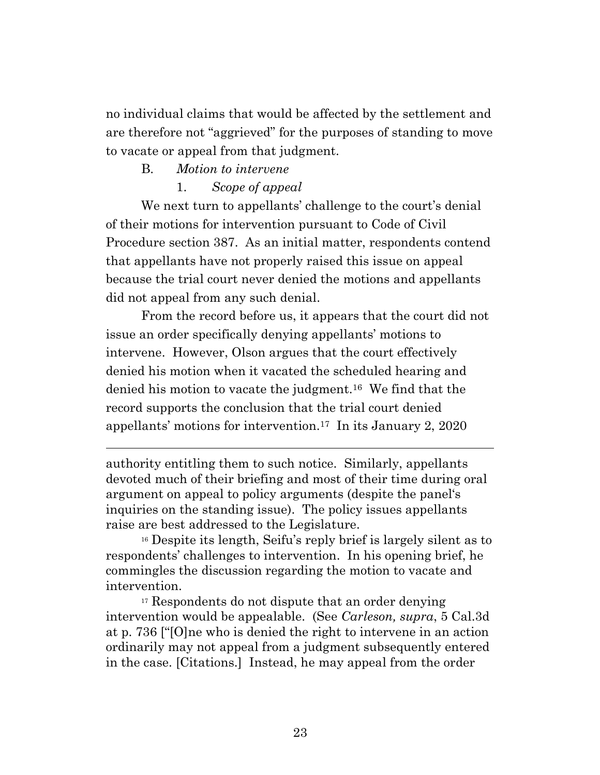no individual claims that would be affected by the settlement and are therefore not "aggrieved" for the purposes of standing to move to vacate or appeal from that judgment.

## B. *Motion to intervene*

## 1. *Scope of appeal*

We next turn to appellants' challenge to the court's denial of their motions for intervention pursuant to Code of Civil Procedure section 387. As an initial matter, respondents contend that appellants have not properly raised this issue on appeal because the trial court never denied the motions and appellants did not appeal from any such denial.

From the record before us, it appears that the court did not issue an order specifically denying appellants' motions to intervene. However, Olson argues that the court effectively denied his motion when it vacated the scheduled hearing and denied his motion to vacate the judgment.<sup>16</sup> We find that the record supports the conclusion that the trial court denied appellants' motions for intervention. <sup>17</sup> In its January 2, 2020

authority entitling them to such notice. Similarly, appellants devoted much of their briefing and most of their time during oral argument on appeal to policy arguments (despite the panel's inquiries on the standing issue). The policy issues appellants raise are best addressed to the Legislature.

<sup>16</sup> Despite its length, Seifu's reply brief is largely silent as to respondents' challenges to intervention. In his opening brief, he commingles the discussion regarding the motion to vacate and intervention.

<sup>17</sup> Respondents do not dispute that an order denying intervention would be appealable. (See *Carleson, supra*, 5 Cal.3d at p. 736 ["[O]ne who is denied the right to intervene in an action ordinarily may not appeal from a judgment subsequently entered in the case. [Citations.] Instead, he may appeal from the order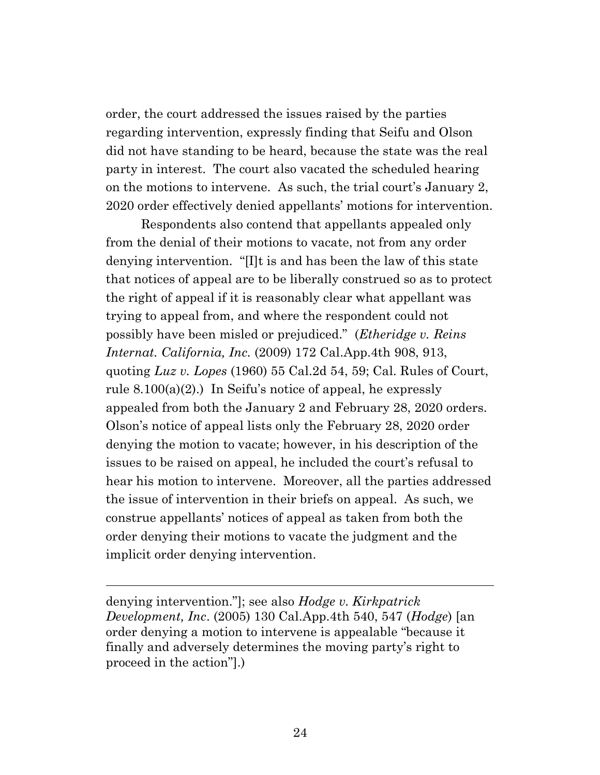order, the court addressed the issues raised by the parties regarding intervention, expressly finding that Seifu and Olson did not have standing to be heard, because the state was the real party in interest. The court also vacated the scheduled hearing on the motions to intervene. As such, the trial court's January 2, 2020 order effectively denied appellants' motions for intervention.

Respondents also contend that appellants appealed only from the denial of their motions to vacate, not from any order denying intervention. "[I]t is and has been the law of this state that notices of appeal are to be liberally construed so as to protect the right of appeal if it is reasonably clear what appellant was trying to appeal from, and where the respondent could not possibly have been misled or prejudiced." (*Etheridge v. Reins Internat. California, Inc.* (2009) 172 Cal.App.4th 908, 913, quoting *Luz v. Lopes* (1960) 55 Cal.2d 54, 59; Cal. Rules of Court, rule  $8.100(a)(2)$ .) In Seifu's notice of appeal, he expressly appealed from both the January 2 and February 28, 2020 orders. Olson's notice of appeal lists only the February 28, 2020 order denying the motion to vacate; however, in his description of the issues to be raised on appeal, he included the court's refusal to hear his motion to intervene. Moreover, all the parties addressed the issue of intervention in their briefs on appeal. As such, we construe appellants' notices of appeal as taken from both the order denying their motions to vacate the judgment and the implicit order denying intervention.

denying intervention."]; see also *Hodge v. Kirkpatrick Development, Inc*. (2005) 130 Cal.App.4th 540, 547 (*Hodge*) [an order denying a motion to intervene is appealable "because it finally and adversely determines the moving party's right to proceed in the action"].)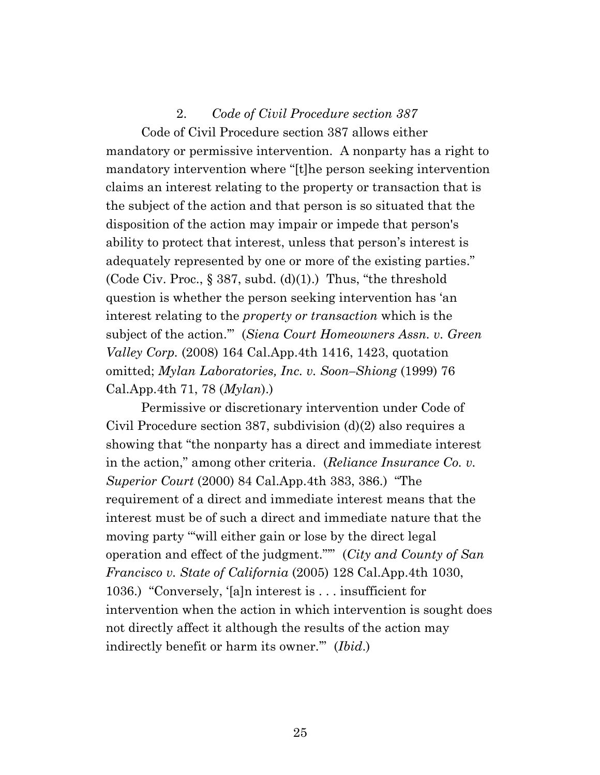### 2. *Code of Civil Procedure section 387*

Code of Civil Procedure section 387 allows either mandatory or permissive intervention. A nonparty has a right to mandatory intervention where "[t]he person seeking intervention claims an interest relating to the property or transaction that is the subject of the action and that person is so situated that the disposition of the action may impair or impede that person's ability to protect that interest, unless that person's interest is adequately represented by one or more of the existing parties." (Code Civ. Proc.,  $\S 387$ , subd. (d)(1).) Thus, "the threshold question is whether the person seeking intervention has 'an interest relating to the *property or transaction* which is the subject of the action.'" (*Siena Court Homeowners Assn. v. Green Valley Corp.* (2008) 164 Cal.App.4th 1416, 1423, quotation omitted; *Mylan Laboratories, Inc. v. Soon–Shiong* (1999) 76 Cal.App.4th 71, 78 (*Mylan*).)

Permissive or discretionary intervention under Code of Civil Procedure section 387, subdivision (d)(2) also requires a showing that "the nonparty has a direct and immediate interest in the action," among other criteria. (*Reliance Insurance Co. v. Superior Court* (2000) 84 Cal.App.4th 383, 386.) "The requirement of a direct and immediate interest means that the interest must be of such a direct and immediate nature that the moving party '"will either gain or lose by the direct legal operation and effect of the judgment."'" (*City and County of San Francisco v. State of California* (2005) 128 Cal.App.4th 1030, 1036.) "Conversely, '[a]n interest is . . . insufficient for intervention when the action in which intervention is sought does not directly affect it although the results of the action may indirectly benefit or harm its owner.'" (*Ibid*.)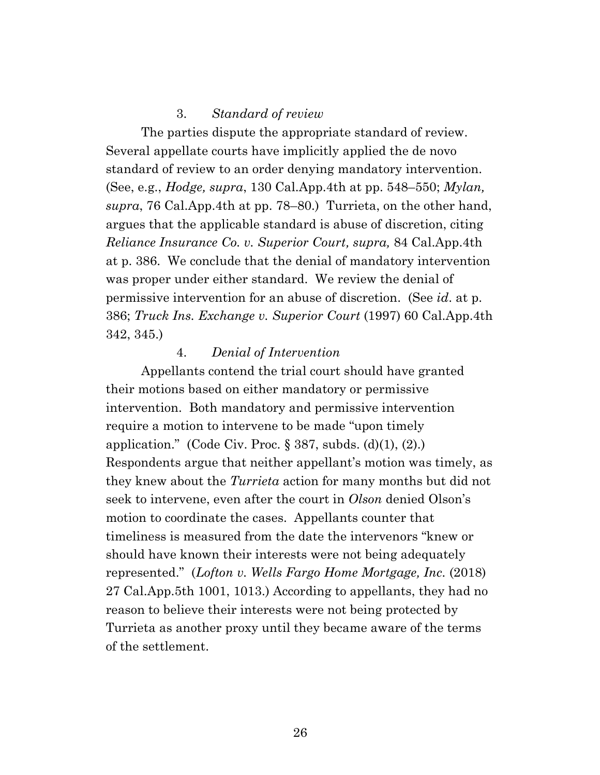### 3. *Standard of review*

The parties dispute the appropriate standard of review. Several appellate courts have implicitly applied the de novo standard of review to an order denying mandatory intervention. (See, e.g., *Hodge, supra*, 130 Cal.App.4th at pp. 548–550; *Mylan, supra*, 76 Cal.App.4th at pp. 78–80.) Turrieta, on the other hand, argues that the applicable standard is abuse of discretion, citing *Reliance Insurance Co. v. Superior Court, supra,* 84 Cal.App.4th at p. 386. We conclude that the denial of mandatory intervention was proper under either standard. We review the denial of permissive intervention for an abuse of discretion. (See *id*. at p. 386; *Truck Ins. Exchange v. Superior Court* (1997) 60 Cal.App.4th 342, 345.)

#### 4. *Denial of Intervention*

Appellants contend the trial court should have granted their motions based on either mandatory or permissive intervention. Both mandatory and permissive intervention require a motion to intervene to be made "upon timely application." (Code Civ. Proc.  $\S 387$ , subds. (d)(1), (2).) Respondents argue that neither appellant's motion was timely, as they knew about the *Turrieta* action for many months but did not seek to intervene, even after the court in *Olson* denied Olson's motion to coordinate the cases. Appellants counter that timeliness is measured from the date the intervenors "knew or should have known their interests were not being adequately represented." (*Lofton v. Wells Fargo Home Mortgage, Inc.* (2018) 27 Cal.App.5th 1001, 1013.) According to appellants, they had no reason to believe their interests were not being protected by Turrieta as another proxy until they became aware of the terms of the settlement.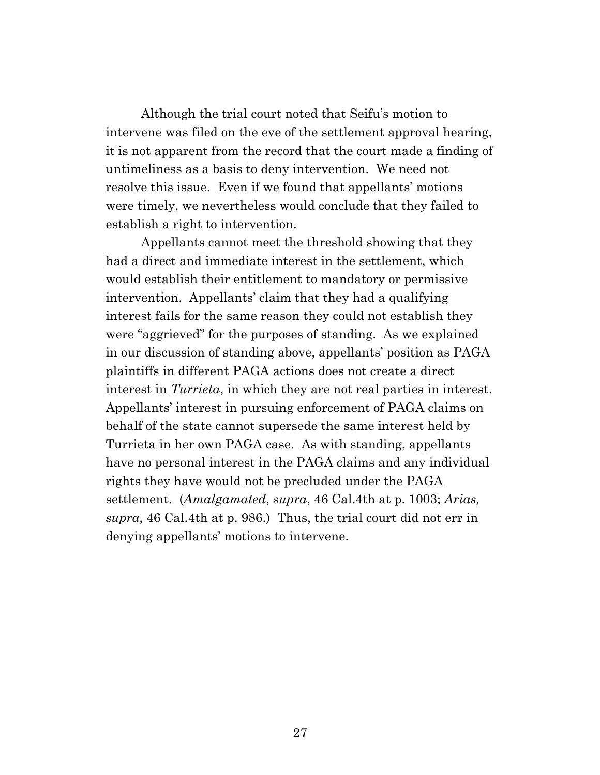Although the trial court noted that Seifu's motion to intervene was filed on the eve of the settlement approval hearing, it is not apparent from the record that the court made a finding of untimeliness as a basis to deny intervention. We need not resolve this issue. Even if we found that appellants' motions were timely, we nevertheless would conclude that they failed to establish a right to intervention.

Appellants cannot meet the threshold showing that they had a direct and immediate interest in the settlement, which would establish their entitlement to mandatory or permissive intervention. Appellants' claim that they had a qualifying interest fails for the same reason they could not establish they were "aggrieved" for the purposes of standing. As we explained in our discussion of standing above, appellants' position as PAGA plaintiffs in different PAGA actions does not create a direct interest in *Turrieta*, in which they are not real parties in interest. Appellants' interest in pursuing enforcement of PAGA claims on behalf of the state cannot supersede the same interest held by Turrieta in her own PAGA case. As with standing, appellants have no personal interest in the PAGA claims and any individual rights they have would not be precluded under the PAGA settlement. (*Amalgamated*, *supra*, 46 Cal.4th at p. 1003; *Arias, supra*, 46 Cal.4th at p. 986.) Thus, the trial court did not err in denying appellants' motions to intervene.